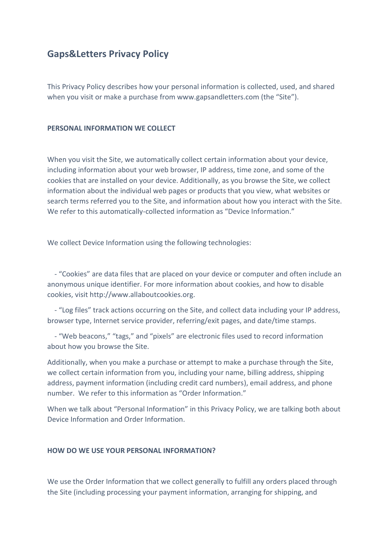# **Gaps&Letters Privacy Policy**

This Privacy Policy describes how your personal information is collected, used, and shared when you visit or make a purchase from www.gapsandletters.com (the "Site").

# **PERSONAL INFORMATION WE COLLECT**

When you visit the Site, we automatically collect certain information about your device, including information about your web browser, IP address, time zone, and some of the cookies that are installed on your device. Additionally, as you browse the Site, we collect information about the individual web pages or products that you view, what websites or search terms referred you to the Site, and information about how you interact with the Site. We refer to this automatically-collected information as "Device Information."

We collect Device Information using the following technologies:

 - "Cookies" are data files that are placed on your device or computer and often include an anonymous unique identifier. For more information about cookies, and how to disable cookies, visit http://www.allaboutcookies.org.

 - "Log files" track actions occurring on the Site, and collect data including your IP address, browser type, Internet service provider, referring/exit pages, and date/time stamps.

 - "Web beacons," "tags," and "pixels" are electronic files used to record information about how you browse the Site.

Additionally, when you make a purchase or attempt to make a purchase through the Site, we collect certain information from you, including your name, billing address, shipping address, payment information (including credit card numbers), email address, and phone number. We refer to this information as "Order Information."

When we talk about "Personal Information" in this Privacy Policy, we are talking both about Device Information and Order Information.

### **HOW DO WE USE YOUR PERSONAL INFORMATION?**

We use the Order Information that we collect generally to fulfill any orders placed through the Site (including processing your payment information, arranging for shipping, and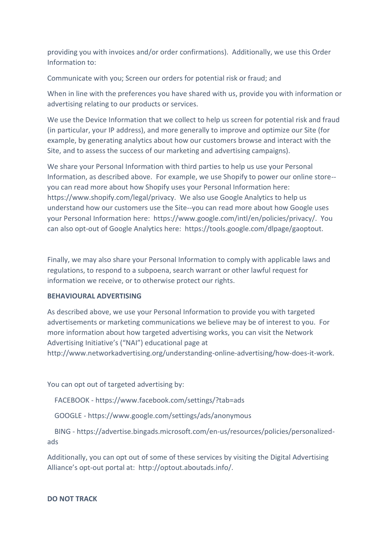providing you with invoices and/or order confirmations). Additionally, we use this Order Information to:

Communicate with you; Screen our orders for potential risk or fraud; and

When in line with the preferences you have shared with us, provide you with information or advertising relating to our products or services.

We use the Device Information that we collect to help us screen for potential risk and fraud (in particular, your IP address), and more generally to improve and optimize our Site (for example, by generating analytics about how our customers browse and interact with the Site, and to assess the success of our marketing and advertising campaigns).

We share your Personal Information with third parties to help us use your Personal Information, as described above. For example, we use Shopify to power our online store- you can read more about how Shopify uses your Personal Information here: https://www.shopify.com/legal/privacy. We also use Google Analytics to help us understand how our customers use the Site--you can read more about how Google uses your Personal Information here: https://www.google.com/intl/en/policies/privacy/. You can also opt-out of Google Analytics here: https://tools.google.com/dlpage/gaoptout.

Finally, we may also share your Personal Information to comply with applicable laws and regulations, to respond to a subpoena, search warrant or other lawful request for information we receive, or to otherwise protect our rights.

### **BEHAVIOURAL ADVERTISING**

As described above, we use your Personal Information to provide you with targeted advertisements or marketing communications we believe may be of interest to you. For more information about how targeted advertising works, you can visit the Network Advertising Initiative's ("NAI") educational page at

http://www.networkadvertising.org/understanding-online-advertising/how-does-it-work.

You can opt out of targeted advertising by:

FACEBOOK - https://www.facebook.com/settings/?tab=ads

GOOGLE - https://www.google.com/settings/ads/anonymous

 BING - https://advertise.bingads.microsoft.com/en-us/resources/policies/personalizedads

Additionally, you can opt out of some of these services by visiting the Digital Advertising Alliance's opt-out portal at: http://optout.aboutads.info/.

### **DO NOT TRACK**